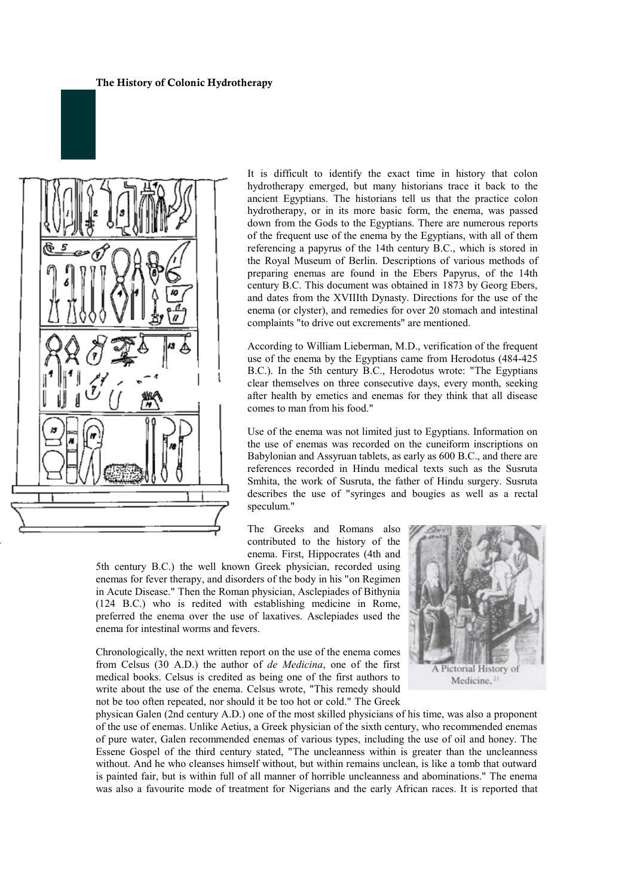

It is difficult to identify the exact time in history that colon hydrotherapy emerged, but many historians trace it back to the ancient Egyptians. The historians tell us that the practice colon hydrotherapy, or in its more basic form, the enema, was passed down from the Gods to the Egyptians. There are numerous reports of the frequent use of the enema by the Egyptians, with all of them referencing a papyrus of the 14th century B.C., which is stored in the Royal Museum of Berlin. Descriptions of various methods of preparing enemas are found in the Ebers Papyrus, of the 14th century B.C. This document was obtained in 1873 by Georg Ebers, and dates from the XVIIIth Dynasty. Directions for the use of the enema (or clyster), and remedies for over 20 stomach and intestinal complaints "to drive out excrements" are mentioned.

According to William Lieberman, M.D., verification of the frequent use of the enema by the Egyptians came from Herodotus (484-425 B.C.). In the 5th century B.C., Herodotus wrote: "The Egyptians clear themselves on three consecutive days, every month, seeking after health by emetics and enemas for they think that all disease comes to man from his food."

Use of the enema was not limited just to Egyptians. Information on the use of enemas was recorded on the cuneiform inscriptions on Babylonian and Assyruan tablets, as early as 600 B.C., and there are references recorded in Hindu medical texts such as the Susruta Smhita, the work of Susruta, the father of Hindu surgery. Susruta describes the use of "syringes and bougies as well as a rectal speculum."

The Greeks and Romans also contributed to the history of the enema. First, Hippocrates (4th and

5th century B.C.) the well known Greek physician, recorded using enemas for fever therapy, and disorders of the body in his "on Regimen in Acute Disease." Then the Roman physician, Asclepiades of Bithynia (124 B.C.) who is redited with establishing medicine in Rome, preferred the enema over the use of laxatives. Asclepiades used the enema for intestinal worms and fevers.

Chronologically, the next written report on the use of the enema comes from Celsus (30 A.D.) the author of *de Medicina*, one of the first medical books. Celsus is credited as being one of the first authors to write about the use of the enema. Celsus wrote, "This remedy should not be too often repeated, nor should it be too hot or cold." The Greek



physican Galen (2nd century A.D.) one of the most skilled physicians of his time, was also a proponent of the use of enemas. Unlike Aetius, a Greek physician of the sixth century, who recommended enemas of pure water, Galen recommended enemas of various types, including the use of oil and honey. The Essene Gospel of the third century stated, "The uncleanness within is greater than the uncleanness without. And he who cleanses himself without, but within remains unclean, is like a tomb that outward is painted fair, but is within full of all manner of horrible uncleanness and abominations." The enema was also a favourite mode of treatment for Nigerians and the early African races. It is reported that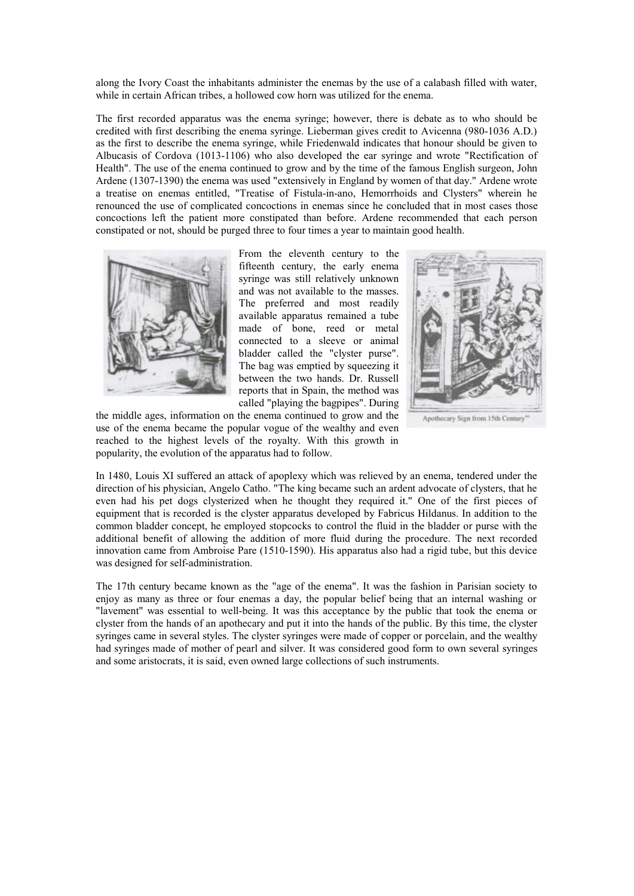along the Ivory Coast the inhabitants administer the enemas by the use of a calabash filled with water, while in certain African tribes, a hollowed cow horn was utilized for the enema.

The first recorded apparatus was the enema syringe; however, there is debate as to who should be credited with first describing the enema syringe. Lieberman gives credit to Avicenna (980-1036 A.D.) as the first to describe the enema syringe, while Friedenwald indicates that honour should be given to Albucasis of Cordova (1013-1106) who also developed the ear syringe and wrote "Rectification of Health". The use of the enema continued to grow and by the time of the famous English surgeon, John Ardene (1307-1390) the enema was used "extensively in England by women of that day." Ardene wrote a treatise on enemas entitled, "Treatise of Fistula-in-ano, Hemorrhoids and Clysters" wherein he renounced the use of complicated concoctions in enemas since he concluded that in most cases those concoctions left the patient more constipated than before. Ardene recommended that each person constipated or not, should be purged three to four times a year to maintain good health.



From the eleventh century to the fifteenth century, the early enema syringe was still relatively unknown and was not available to the masses. The preferred and most readily available apparatus remained a tube made of bone, reed or metal connected to a sleeve or animal bladder called the "clyster purse". The bag was emptied by squeezing it between the two hands. Dr. Russell reports that in Spain, the method was called "playing the bagpipes". During



Apothecary Sign from 15th Century

the middle ages, information on the enema continued to grow and the use of the enema became the popular vogue of the wealthy and even reached to the highest levels of the royalty. With this growth in popularity, the evolution of the apparatus had to follow.

In 1480, Louis XI suffered an attack of apoplexy which was relieved by an enema, tendered under the direction of his physician, Angelo Catho. "The king became such an ardent advocate of clysters, that he even had his pet dogs clysterized when he thought they required it." One of the first pieces of equipment that is recorded is the clyster apparatus developed by Fabricus Hildanus. In addition to the common bladder concept, he employed stopcocks to control the fluid in the bladder or purse with the additional benefit of allowing the addition of more fluid during the procedure. The next recorded innovation came from Ambroise Pare (1510-1590). His apparatus also had a rigid tube, but this device was designed for self-administration.

The 17th century became known as the "age of the enema". It was the fashion in Parisian society to enjoy as many as three or four enemas a day, the popular belief being that an internal washing or "lavement" was essential to well-being. It was this acceptance by the public that took the enema or clyster from the hands of an apothecary and put it into the hands of the public. By this time, the clyster syringes came in several styles. The clyster syringes were made of copper or porcelain, and the wealthy had syringes made of mother of pearl and silver. It was considered good form to own several syringes and some aristocrats, it is said, even owned large collections of such instruments.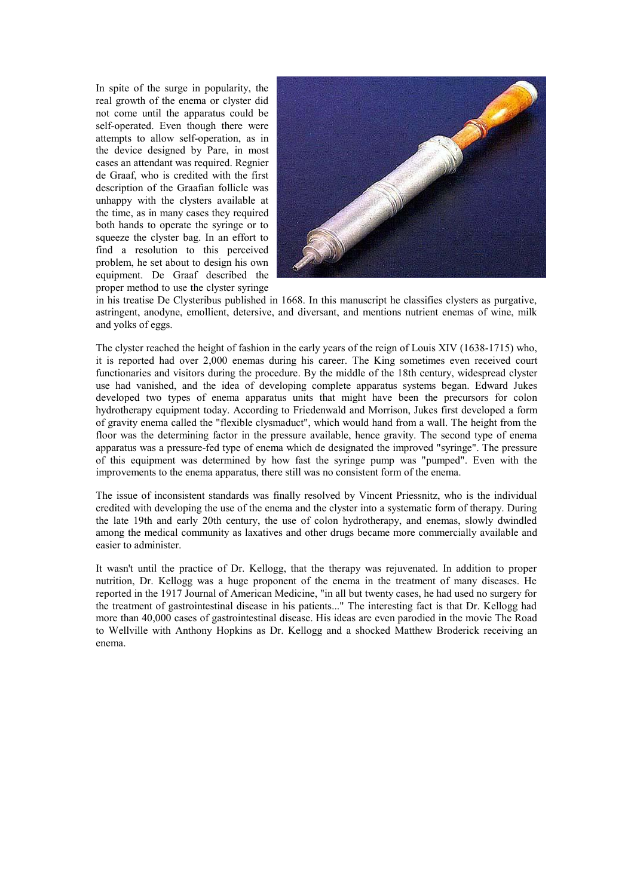In spite of the surge in popularity, the real growth of the enema or clyster did not come until the apparatus could be self-operated. Even though there were attempts to allow self-operation, as in the device designed by Pare, in most cases an attendant was required. Regnier de Graaf, who is credited with the first description of the Graafian follicle was unhappy with the clysters available at the time, as in many cases they required both hands to operate the syringe or to squeeze the clyster bag. In an effort to find a resolution to this perceived problem, he set about to design his own equipment. De Graaf described the proper method to use the clyster syringe



in his treatise De Clysteribus published in 1668. In this manuscript he classifies clysters as purgative, astringent, anodyne, emollient, detersive, and diversant, and mentions nutrient enemas of wine, milk and yolks of eggs.

The clyster reached the height of fashion in the early years of the reign of Louis XIV (1638-1715) who, it is reported had over 2,000 enemas during his career. The King sometimes even received court functionaries and visitors during the procedure. By the middle of the 18th century, widespread clyster use had vanished, and the idea of developing complete apparatus systems began. Edward Jukes developed two types of enema apparatus units that might have been the precursors for colon hydrotherapy equipment today. According to Friedenwald and Morrison, Jukes first developed a form of gravity enema called the "flexible clysmaduct", which would hand from a wall. The height from the floor was the determining factor in the pressure available, hence gravity. The second type of enema apparatus was a pressure-fed type of enema which de designated the improved "syringe". The pressure of this equipment was determined by how fast the syringe pump was "pumped". Even with the improvements to the enema apparatus, there still was no consistent form of the enema.

The issue of inconsistent standards was finally resolved by Vincent Priessnitz, who is the individual credited with developing the use of the enema and the clyster into a systematic form of therapy. During the late 19th and early 20th century, the use of colon hydrotherapy, and enemas, slowly dwindled among the medical community as laxatives and other drugs became more commercially available and easier to administer.

It wasn't until the practice of Dr. Kellogg, that the therapy was rejuvenated. In addition to proper nutrition, Dr. Kellogg was a huge proponent of the enema in the treatment of many diseases. He reported in the 1917 Journal of American Medicine, "in all but twenty cases, he had used no surgery for the treatment of gastrointestinal disease in his patients..." The interesting fact is that Dr. Kellogg had more than 40,000 cases of gastrointestinal disease. His ideas are even parodied in the movie The Road to Wellville with Anthony Hopkins as Dr. Kellogg and a shocked Matthew Broderick receiving an enema.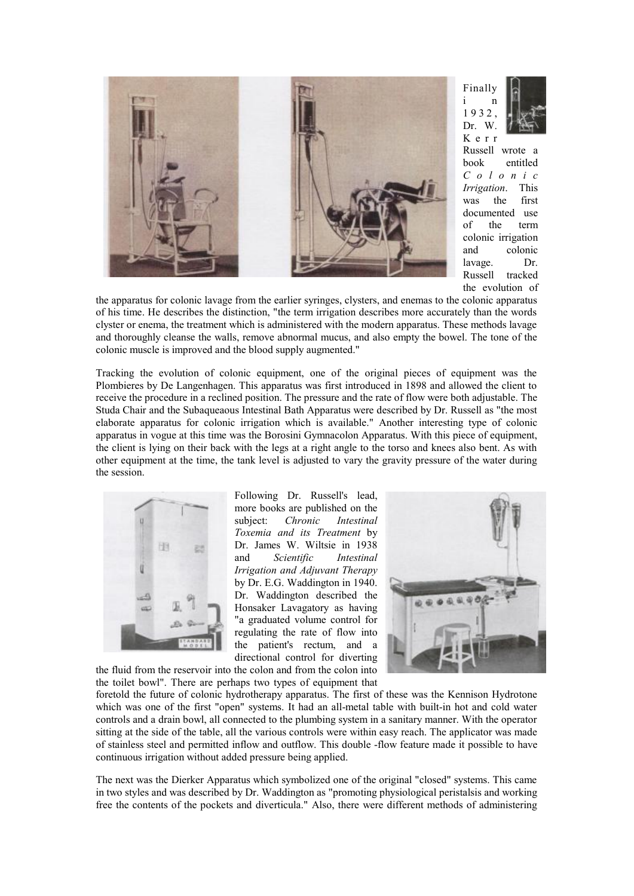

Finally i n 1 9 3 2 , Dr. W. K e r r Russell wrote a

book entitled *C o l o n i c Irrigation*. This was the first documented use of the term colonic irrigation and colonic lavage. Dr. Russell tracked the evolution of

the apparatus for colonic lavage from the earlier syringes, clysters, and enemas to the colonic apparatus of his time. He describes the distinction, "the term irrigation describes more accurately than the words clyster or enema, the treatment which is administered with the modern apparatus. These methods lavage and thoroughly cleanse the walls, remove abnormal mucus, and also empty the bowel. The tone of the colonic muscle is improved and the blood supply augmented."

Tracking the evolution of colonic equipment, one of the original pieces of equipment was the Plombieres by De Langenhagen. This apparatus was first introduced in 1898 and allowed the client to receive the procedure in a reclined position. The pressure and the rate of flow were both adjustable. The Studa Chair and the Subaqueaous Intestinal Bath Apparatus were described by Dr. Russell as "the most elaborate apparatus for colonic irrigation which is available." Another interesting type of colonic apparatus in vogue at this time was the Borosini Gymnacolon Apparatus. With this piece of equipment, the client is lying on their back with the legs at a right angle to the torso and knees also bent. As with other equipment at the time, the tank level is adjusted to vary the gravity pressure of the water during the session.



Following Dr. Russell's lead, more books are published on the subject: *Chronic Intestinal Toxemia and its Treatment* by Dr. James W. Wiltsie in 1938 and *Scientific Intestinal Irrigation and Adjuvant Therapy* by Dr. E.G. Waddington in 1940. Dr. Waddington described the Honsaker Lavagatory as having "a graduated volume control for regulating the rate of flow into the patient's rectum, and a directional control for diverting



the fluid from the reservoir into the colon and from the colon into the toilet bowl". There are perhaps two types of equipment that

foretold the future of colonic hydrotherapy apparatus. The first of these was the Kennison Hydrotone which was one of the first "open" systems. It had an all-metal table with built-in hot and cold water controls and a drain bowl, all connected to the plumbing system in a sanitary manner. With the operator sitting at the side of the table, all the various controls were within easy reach. The applicator was made of stainless steel and permitted inflow and outflow. This double -flow feature made it possible to have continuous irrigation without added pressure being applied.

The next was the Dierker Apparatus which symbolized one of the original "closed" systems. This came in two styles and was described by Dr. Waddington as "promoting physiological peristalsis and working free the contents of the pockets and diverticula." Also, there were different methods of administering